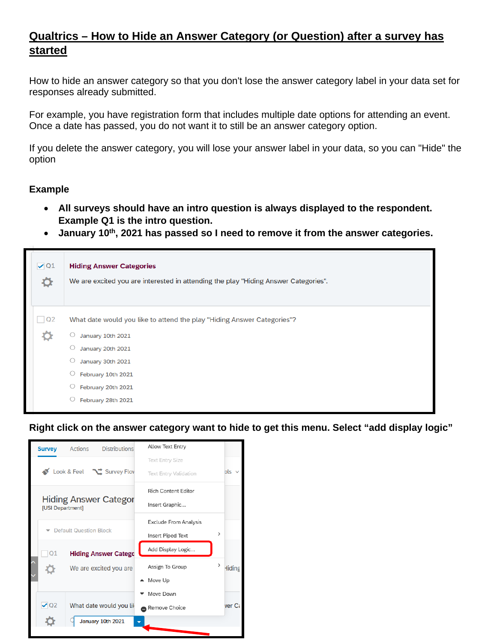## **Qualtrics – How to Hide an Answer Category (or Question) after a survey has started**

How to hide an answer category so that you don't lose the answer category label in your data set for responses already submitted.

For example, you have registration form that includes multiple date options for attending an event. Once a date has passed, you do not want it to still be an answer category option.

If you delete the answer category, you will lose your answer label in your data, so you can "Hide" the option

## **Example**

- **All surveys should have an intro question is always displayed to the respondent. Example Q1 is the intro question.**
- January 10<sup>th</sup>, 2021 has passed so I need to remove it from the answer categories.

| $\sqrt{Q1}$<br>⋫ |
|------------------|
| Q <sub>2</sub>   |
|                  |
|                  |
|                  |
|                  |
|                  |
|                  |
|                  |

**Right click on the answer category want to hide to get this menu. Select "add display logic"**

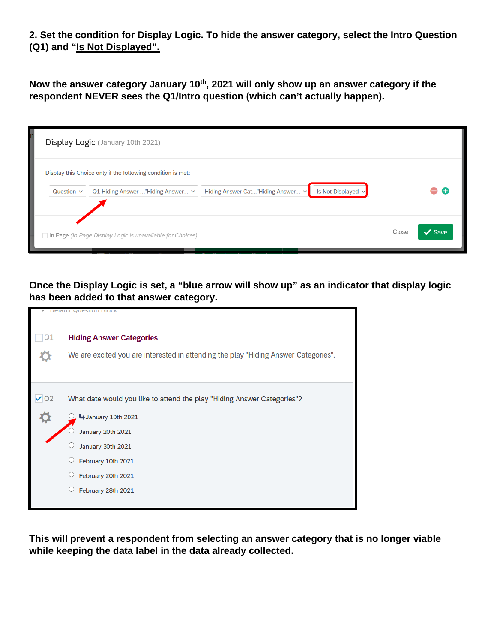**2. Set the condition for Display Logic. To hide the answer category, select the Intro Question (Q1) and "Is Not Displayed".** 

Now the answer category January 10<sup>th</sup>, 2021 will only show up an answer category if the **respondent NEVER sees the Q1/Intro question (which can't actually happen).**

| n<br>Display Logic (January 10th 2021)                                                                                                                                                    |       |        |
|-------------------------------------------------------------------------------------------------------------------------------------------------------------------------------------------|-------|--------|
| Display this Choice only if the following condition is met:<br>Hiding Answer Cat"Hiding Answer $\vee$<br>Is Not Displayed $\vee$<br>Question $\sim$<br>Q1 Hiding Answer  "Hiding Answer v |       | +      |
| In Page (In Page Display Logic is unavailable for Choices)                                                                                                                                | Close | ' Save |

**Once the Display Logic is set, a "blue arrow will show up" as an indicator that display logic has been added to that answer category.** 

|                       | <b>Delault Question DIUCK</b>                                                                                                                                                                            |  |  |
|-----------------------|----------------------------------------------------------------------------------------------------------------------------------------------------------------------------------------------------------|--|--|
| Q1                    | <b>Hiding Answer Categories</b><br>We are excited you are interested in attending the play "Hiding Answer Categories".                                                                                   |  |  |
| $\vee$ Q <sub>2</sub> | What date would you like to attend the play "Hiding Answer Categories"?<br>January 10th 2021<br>January 20th 2021<br>January 30th 2021<br>February 10th 2021<br>February 20th 2021<br>February 28th 2021 |  |  |

**This will prevent a respondent from selecting an answer category that is no longer viable while keeping the data label in the data already collected.**